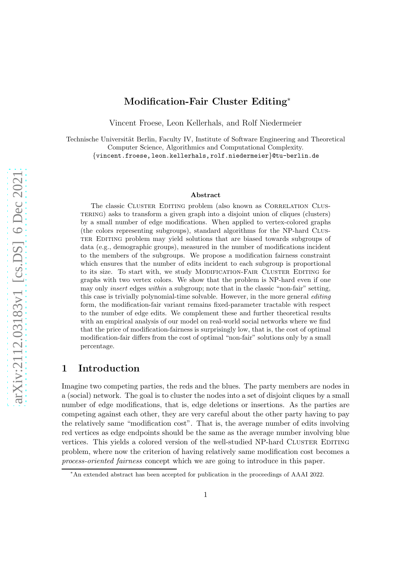# Modification-Fair Cluster Editing<sup>∗</sup>

Vincent Froese, Leon Kellerhals, and Rolf Niedermeier

Technische Universität Berlin, Faculty IV, Institute of Software Engineering and Theoretical Computer Science, Algorithmics and Computational Complexity. {vincent.froese, leon.kellerhals,rolf.niedermeier}@tu-berlin.de

#### Abstract

The classic CLUSTER EDITING problem (also known as CORRELATION CLUStering) asks to transform a given graph into a disjoint union of cliques (clusters) by a small number of edge modifications. When applied to vertex-colored graphs (the colors representing subgroups), standard algorithms for the NP-hard Clus-TER EDITING problem may yield solutions that are biased towards subgroups of data (e.g., demographic groups), measured in the number of modifications incident to the members of the subgroups. We propose a modification fairness constraint which ensures that the number of edits incident to each subgroup is proportional to its size. To start with, we study MODIFICATION-FAIR CLUSTER EDITING for graphs with two vertex colors. We show that the problem is NP-hard even if one may only insert edges within a subgroup; note that in the classic "non-fair" setting, this case is trivially polynomial-time solvable. However, in the more general editing form, the modification-fair variant remains fixed-parameter tractable with respect to the number of edge edits. We complement these and further theoretical results with an empirical analysis of our model on real-world social networks where we find that the price of modification-fairness is surprisingly low, that is, the cost of optimal modification-fair differs from the cost of optimal "non-fair" solutions only by a small percentage.

# 1 Introduction

Imagine two competing parties, the reds and the blues. The party members are nodes in a (social) network. The goal is to cluster the nodes into a set of disjoint cliques by a small number of edge modifications, that is, edge deletions or insertions. As the parties are competing against each other, they are very careful about the other party having to pay the relatively same "modification cost". That is, the average number of edits involving red vertices as edge endpoints should be the same as the average number involving blue vertices. This yields a colored version of the well-studied NP-hard CLUSTER EDITING problem, where now the criterion of having relatively same modification cost becomes a process-oriented fairness concept which we are going to introduce in this paper.

<sup>∗</sup>An extended abstract has been accepted for publication in the proceedings of AAAI 2022.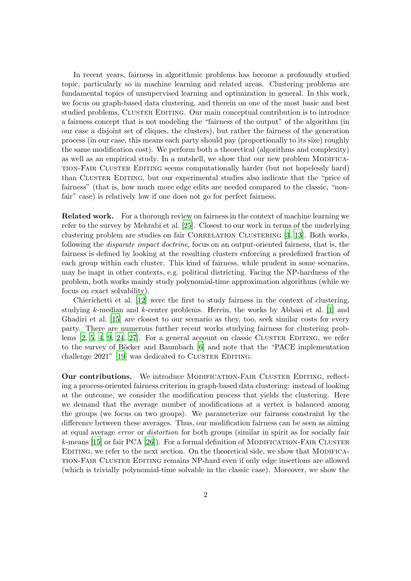<span id="page-1-0"></span>In recent years, fairness in algorithmic problems has become a profoundly studied topic, particularly so in machine learning and related areas. Clustering problems are fundamental topics of unsupervised learning and optimization in general. In this work, we focus on graph-based data clustering, and therein on one of the most basic and best studied problems, CLUSTER EDITING. Our main conceptual contribution is to introduce a fairness concept that is not modeling the "fairness of the output" of the algorithm (in our case a disjoint set of cliques, the clusters), but rather the fairness of the generation process (in our case, this means each party should pay (proportionally to its size) roughly the same modification cost). We perform both a theoretical (algorithms and complexity) as well as an empirical study. In a nutshell, we show that our new problem MODIFICAtion-Fair Cluster Editing seems computationally harder (but not hopelessly hard) than CLUSTER EDITING, but our experimental studies also indicate that the "price of fairness" (that is, how much more edge edits are needed compared to the classic, "nonfair" case) is relatively low if one does not go for perfect fairness.

Related work. For a thorough review on fairness in the context of machine learning we refer to the survey by Mehrabi et al. [\[25](#page-18-0)]. Closest to our work in terms of the underlying clustering problem are studies on fair CORRELATION CLUSTERING [\[3,](#page-16-0) [13](#page-17-0)]. Both works, following the disparate impact doctrine, focus on an output-oriented fairness, that is, the fairness is defined by looking at the resulting clusters enforcing a predefined fraction of each group within each cluster. This kind of fairness, while prudent in some scenarios, may be inapt in other contexts, e.g. political districting. Facing the NP-hardness of the problem, both works mainly study polynomial-time approximation algorithms (while we focus on exact solvability).

Chierichetti et al. [\[12\]](#page-17-1) were the first to study fairness in the context of clustering, studying k-median and k-center problems. Herein, the works by Abbasi et al. [\[1](#page-16-1)] and Ghadiri et al. [\[15](#page-17-2)] are closest to our scenario as they, too, seek similar costs for every party. There are numerous further recent works studying fairness for clustering problems  $[2, 5, 4, 9, 24, 27]$  $[2, 5, 4, 9, 24, 27]$  $[2, 5, 4, 9, 24, 27]$  $[2, 5, 4, 9, 24, 27]$  $[2, 5, 4, 9, 24, 27]$  $[2, 5, 4, 9, 24, 27]$  $[2, 5, 4, 9, 24, 27]$  $[2, 5, 4, 9, 24, 27]$ . For a general account on classic CLUSTER EDITING, we refer to the survey of Böcker and Baumbach  $[6]$  and note that the "PACE implementation challenge  $2021$ " [\[19](#page-17-3)] was dedicated to CLUSTER EDITING.

Our contributions. We introduce MODIFICATION-FAIR CLUSTER EDITING, reflecting a process-oriented fairness criterion in graph-based data clustering: instead of looking at the outcome, we consider the modification process that yields the clustering. Here we demand that the average number of modifications at a vertex is balanced among the groups (we focus on two groups). We parameterize our fairness constraint by the difference between these averages. Thus, our modification fairness can be seen as aiming at equal average error or distortion for both groups (similar in spirit as for socially fair  $k$ -means [\[15](#page-17-2)] or fair PCA [\[26](#page-18-3)]). For a formal definition of MODIFICATION-FAIR CLUSTER EDITING, we refer to the next section. On the theoretical side, we show that MODIFICAtion-Fair Cluster Editing remains NP-hard even if only edge insertions are allowed (which is trivially polynomial-time solvable in the classic case). Moreover, we show the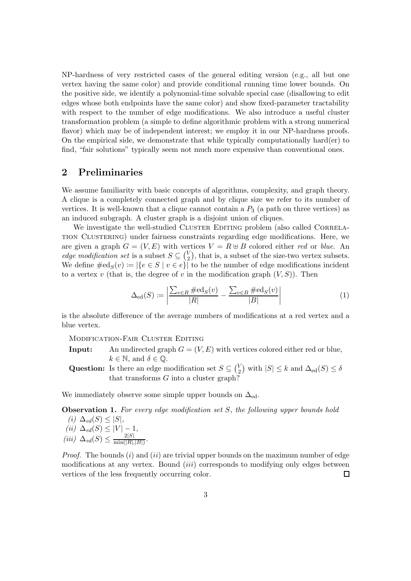NP-hardness of very restricted cases of the general editing version (e.g., all but one vertex having the same color) and provide conditional running time lower bounds. On the positive side, we identify a polynomial-time solvable special case (disallowing to edit edges whose both endpoints have the same color) and show fixed-parameter tractability with respect to the number of edge modifications. We also introduce a useful cluster transformation problem (a simple to define algorithmic problem with a strong numerical flavor) which may be of independent interest; we employ it in our NP-hardness proofs. On the empirical side, we demonstrate that while typically computationally hard(er) to find, "fair solutions" typically seem not much more expensive than conventional ones.

### 2 Preliminaries

We assume familiarity with basic concepts of algorithms, complexity, and graph theory. A clique is a completely connected graph and by clique size we refer to its number of vertices. It is well-known that a clique cannot contain a  $P_3$  (a path on three vertices) as an induced subgraph. A cluster graph is a disjoint union of cliques.

We investigate the well-studied CLUSTER EDITING problem (also called CORRELAtion Clustering) under fairness constraints regarding edge modifications. Here, we are given a graph  $G = (V, E)$  with vertices  $V = R \oplus B$  colored either red or blue. An edge modification set is a subset  $S \subseteq {V_2 \choose 2}$  $\binom{V}{2}$ , that is, a subset of the size-two vertex subsets. We define  $\#\text{ed}_{S}(v) \coloneqq |\{e \in S \mid v \in e\}|$  to be the number of edge modifications incident to a vertex v (that is, the degree of v in the modification graph  $(V, S)$ ). Then

$$
\Delta_{\text{ed}}(S) := \left| \frac{\sum_{v \in R} \# \text{ed}_S(v)}{|R|} - \frac{\sum_{v \in B} \# \text{ed}_S(v)}{|B|} \right| \tag{1}
$$

is the absolute difference of the average numbers of modifications at a red vertex and a blue vertex.

Modification-Fair Cluster Editing

- **Input:** An undirected graph  $G = (V, E)$  with vertices colored either red or blue,  $k \in \mathbb{N}$ , and  $\delta \in \mathbb{Q}$ .
- **Question:** Is there an edge modification set  $S \subseteq {V_2 \choose 2}$  $\binom{V}{2}$  with  $|S| \leq k$  and  $\Delta_{\text{ed}}(S) \leq \delta$ that transforms  $G$  into a cluster graph?

<span id="page-2-0"></span>We immediately observe some simple upper bounds on  $\Delta_{ed}$ .

Observation 1. For every edge modification set S, the following upper bounds hold

(i)  $\Delta_{ed}(S) \leq |S|$ ,  $(ii) \Delta_{ed}(S) \leq |V| - 1,$  $(iii)$   $\Delta_{ed}(S) \leq \frac{2|S|}{\min(|R|)}$  $\frac{2|\mathcal{S}|}{\min(|R|,|B|)}$ .

*Proof.* The bounds  $(i)$  and  $(ii)$  are trivial upper bounds on the maximum number of edge modifications at any vertex. Bound  $(iii)$  corresponds to modifying only edges between vertices of the less frequently occurring color.  $\Box$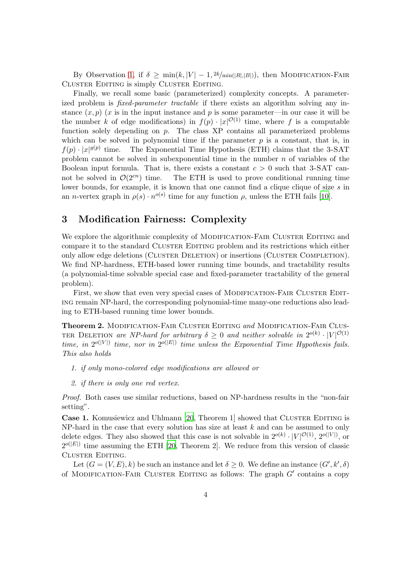<span id="page-3-2"></span>By Observation [1,](#page-2-0) if  $\delta \geq \min(k, |V| - 1, 2k/\min(|R|, |B|))$ , then MODIFICATION-FAIR Cluster Editing is simply Cluster Editing.

Finally, we recall some basic (parameterized) complexity concepts. A parameterized problem is *fixed-parameter tractable* if there exists an algorithm solving any instance  $(x, p)$  (x is in the input instance and p is some parameter—in our case it will be the number k of edge modifications) in  $f(p) \cdot |x|^{O(1)}$  time, where f is a computable function solely depending on  $p$ . The class XP contains all parameterized problems which can be solved in polynomial time if the parameter  $p$  is a constant, that is, in  $f(p) \cdot |x|^{g(p)}$ The Exponential Time Hypothesis (ETH) claims that the 3-SAT problem cannot be solved in subexponential time in the number  $n$  of variables of the Boolean input formula. That is, there exists a constant  $c > 0$  such that 3-SAT cannot be solved in  $\mathcal{O}(2^{cn})$  time. The ETH is used to prove conditional running time lower bounds, for example, it is known that one cannot find a clique clique of size s in an *n*-vertex graph in  $\rho(s) \cdot n^{o(s)}$  time for any function  $\rho$ , unless the ETH fails [\[10\]](#page-17-4).

### <span id="page-3-1"></span>3 Modification Fairness: Complexity

We explore the algorithmic complexity of MODIFICATION-FAIR CLUSTER EDITING and compare it to the standard CLUSTER EDITING problem and its restrictions which either only allow edge deletions (Cluster Deletion) or insertions (Cluster Completion). We find NP-hardness, ETH-based lower running time bounds, and tractability results (a polynomial-time solvable special case and fixed-parameter tractability of the general problem).

First, we show that even very special cases of MODIFICATION-FAIR CLUSTER EDITing remain NP-hard, the corresponding polynomial-time many-one reductions also leading to ETH-based running time lower bounds.

<span id="page-3-0"></span>Theorem 2. MODIFICATION-FAIR CLUSTER EDITING and MODIFICATION-FAIR CLUS-TER DELETION are NP-hard for arbitrary  $\delta \geq 0$  and neither solvable in  $2^{o(k)} \cdot |V|^{\mathcal{O}(1)}$ time, in  $2^{o(|V|)}$  time, nor in  $2^{o(|E|)}$  time unless the Exponential Time Hypothesis fails. This also holds

- 1. if only mono-colored edge modifications are allowed or
- 2. if there is only one red vertex.

Proof. Both cases use similar reductions, based on NP-hardness results in the "non-fair setting".

**Case 1.** Komusiewicz and Uhlmann [\[20](#page-17-5), Theorem 1] showed that CLUSTER EDITING is NP-hard in the case that every solution has size at least  $k$  and can be assumed to only delete edges. They also showed that this case is not solvable in  $2^{o(k)} \cdot |V|^{\mathcal{O}(1)}$ ,  $2^{o(|V|)}$ , or  $2^{o(|E|)}$  time assuming the ETH [\[20](#page-17-5), Theorem 2]. We reduce from this version of classic Cluster Editing.

Let  $(G = (V, E), k)$  be such an instance and let  $\delta \geq 0$ . We define an instance  $(G', k', \delta)$ of MODIFICATION-FAIR CLUSTER EDITING as follows: The graph  $G'$  contains a copy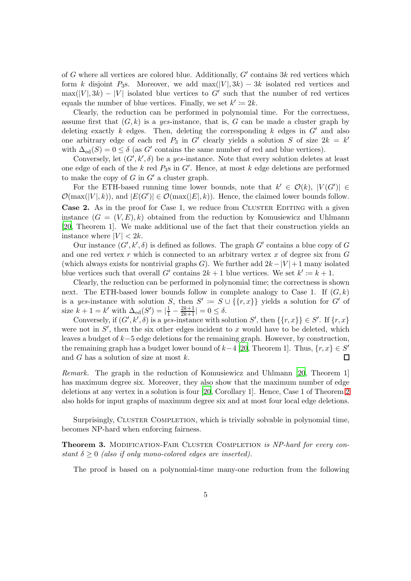<span id="page-4-1"></span>of G where all vertices are colored blue. Additionally,  $G'$  contains  $3k$  red vertices which form k disjoint P<sub>3</sub>s. Moreover, we add max(|V|, 3k) – 3k isolated red vertices and  $\max(|V|, 3k) - |V|$  isolated blue vertices to G' such that the number of red vertices equals the number of blue vertices. Finally, we set  $k' \coloneqq 2k$ .

Clearly, the reduction can be performed in polynomial time. For the correctness, assume first that  $(G, k)$  is a yes-instance, that is, G can be made a cluster graph by deleting exactly  $k$  edges. Then, deleting the corresponding  $k$  edges in  $G'$  and also one arbitrary edge of each red  $P_3$  in G' clearly yields a solution S of size  $2k = k'$ with  $\Delta_{\text{ed}}(S) = 0 \le \delta$  (as G' contains the same number of red and blue vertices).

Conversely, let  $(G', k', \delta)$  be a yes-instance. Note that every solution deletes at least one edge of each of the  $k$  red  $P_3$ s in  $G'$ . Hence, at most  $k$  edge deletions are performed to make the copy of  $G$  in  $G'$  a cluster graph.

For the ETH-based running time lower bounds, note that  $k' \in \mathcal{O}(k)$ ,  $|V(G')| \in$  $\mathcal{O}(\max(|V|, k))$ , and  $|E(G')| \in \mathcal{O}(\max(|E|, k))$ . Hence, the claimed lower bounds follow. Case 2. As in the proof for Case 1, we reduce from CLUSTER EDITING with a given instance  $(G = (V, E), k)$  obtained from the reduction by Komusiewicz and Uhlmann [\[20](#page-17-5), Theorem 1]. We make additional use of the fact that their construction yields an instance where  $|V| < 2k$ .

Our instance  $(G', k', \delta)$  is defined as follows. The graph  $G'$  contains a blue copy of G and one red vertex  $r$  which is connected to an arbitrary vertex  $x$  of degree six from  $G$ (which always exists for nontrivial graphs G). We further add  $2k-|V|+1$  many isolated blue vertices such that overall G' contains  $2k + 1$  blue vertices. We set  $k' \coloneqq k + 1$ .

Clearly, the reduction can be performed in polynomial time; the correctness is shown next. The ETH-based lower bounds follow in complete analogy to Case 1. If  $(G, k)$ is a yes-instance with solution S, then  $S' := S \cup \{\{r,x\}\}\$  yields a solution for G' of size  $k + 1 = k'$  with  $\Delta_{\text{ed}}(S') = \left| \frac{1}{1} - \frac{2k+1}{2k+1} \right| = 0 \le \delta$ .

Conversely, if  $(G', k', \delta)$  is a yes-instance with solution S', then  $\{\{r, x\}\}\in S'$ . If  $\{r, x\}$ were not in  $S'$ , then the six other edges incident to x would have to be deleted, which leaves a budget of  $k-5$  edge deletions for the remaining graph. However, by construction, the remaining graph has a budget lower bound of  $k-4$  [\[20,](#page-17-5) Theorem 1]. Thus,  $\{r, x\} \in S'$  $\Box$ and G has a solution of size at most k.

Remark. The graph in the reduction of Komusiewicz and Uhlmann [\[20](#page-17-5), Theorem 1] has maximum degree six. Moreover, they also show that the maximum number of edge deletions at any vertex in a solution is four [\[20](#page-17-5), Corollary 1]. Hence, Case 1 of Theorem [2](#page-3-0) also holds for input graphs of maximum degree six and at most four local edge deletions.

<span id="page-4-0"></span>Surprisingly, CLUSTER COMPLETION, which is trivially solvable in polynomial time, becomes NP-hard when enforcing fairness.

**Theorem 3.** MODIFICATION-FAIR CLUSTER COMPLETION is NP-hard for every constant  $\delta \geq 0$  (also if only mono-colored edges are inserted).

The proof is based on a polynomial-time many-one reduction from the following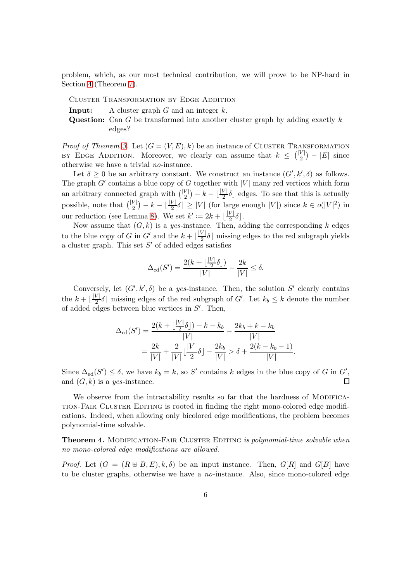problem, which, as our most technical contribution, we will prove to be NP-hard in Section [4](#page-7-0) (Theorem [7\)](#page-7-1).

Cluster Transformation by Edge Addition

**Input:** A cluster graph  $G$  and an integer  $k$ .

Question: Can G be transformed into another cluster graph by adding exactly  $k$ edges?

*Proof of Theorem [3.](#page-4-0)* Let  $(G = (V, E), k)$  be an instance of CLUSTER TRANSFORMATION BY EDGE ADDITION. Moreover, we clearly can assume that  $k \leq \binom{|V|}{2}$  $\binom{V}{2}$  –  $|E|$  since otherwise we have a trivial no-instance.

Let  $\delta \geq 0$  be an arbitrary constant. We construct an instance  $(G', k', \delta)$  as follows. The graph  $G'$  contains a blue copy of G together with  $|V|$  many red vertices which form an arbitrary connected graph with  $\binom{|V|}{2}$  $\binom{V}{2} - k - \lfloor \frac{|V|}{2} \delta \rfloor$  edges. To see that this is actually possible, note that  $\binom{|V|}{2}$  $\binom{V}{2} - k - \lfloor \frac{|V|}{2} \delta \rfloor \ge |V|$  (for large enough  $|V|$ ) since  $k \in o(|V|^2)$  in our reduction (see Lemma [8\)](#page-8-0). We set  $k' \coloneqq 2k + \lfloor \frac{|V|}{2} \rfloor$  $\frac{\nu}{2}$  $\delta$ .

Now assume that  $(G, k)$  is a yes-instance. Then, adding the corresponding k edges to the blue copy of G in G' and the  $k + \lfloor \frac{|V|}{2} \rfloor$  $\frac{\sqrt{1}}{2}$  missing edges to the red subgraph yields a cluster graph. This set  $S'$  of added edges satisfies

$$
\Delta_{\text{ed}}(S') = \frac{2(k + \lfloor \frac{|V|}{2} \delta \rfloor)}{|V|} - \frac{2k}{|V|} \le \delta.
$$

Conversely, let  $(G', k', \delta)$  be a yes-instance. Then, the solution S' clearly contains the  $k + \lfloor \frac{|V|}{2} \rfloor$  $\frac{V|\delta}{2}$  missing edges of the red subgraph of G'. Let  $k_b \leq k$  denote the number of added edges between blue vertices in  $S'$ . Then,

$$
\Delta_{\text{ed}}(S') = \frac{2(k + \lfloor \frac{|V|}{2} \delta \rfloor) + k - k_b}{|V|} - \frac{2k_b + k - k_b}{|V|}
$$

$$
= \frac{2k}{|V|} + \frac{2}{|V|} \lfloor \frac{|V|}{2} \delta \rfloor - \frac{2k_b}{|V|} > \delta + \frac{2(k - k_b - 1)}{|V|}.
$$

Since  $\Delta_{ed}(S') \leq \delta$ , we have  $k_b = k$ , so S' contains k edges in the blue copy of G in G', and  $(G, k)$  is a yes-instance.  $\Box$ 

We observe from the intractability results so far that the hardness of MODIFICAtion-Fair Cluster Editing is rooted in finding the right mono-colored edge modifications. Indeed, when allowing only bicolored edge modifications, the problem becomes polynomial-time solvable.

<span id="page-5-0"></span>Theorem 4. MODIFICATION-FAIR CLUSTER EDITING is polynomial-time solvable when no mono-colored edge modifications are allowed.

*Proof.* Let  $(G = (R \oplus B, E), k, \delta)$  be an input instance. Then,  $G[R]$  and  $G[B]$  have to be cluster graphs, otherwise we have a no-instance. Also, since mono-colored edge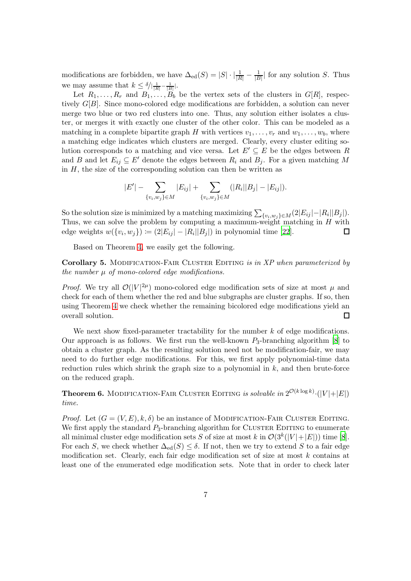<span id="page-6-2"></span>modifications are forbidden, we have  $\Delta_{\text{ed}}(S) = |S| \cdot \left| \frac{1}{|R|} - \frac{1}{|B|} \right|$  $\frac{1}{|B|}$  for any solution S. Thus we may assume that  $k \leq \delta/|\frac{1}{|R|} - \frac{1}{|B|}|$ .

Let  $R_1, \ldots, R_r$  and  $B_1, \ldots, B_b$  be the vertex sets of the clusters in  $G[R]$ , respectively  $G[B]$ . Since mono-colored edge modifications are forbidden, a solution can never merge two blue or two red clusters into one. Thus, any solution either isolates a cluster, or merges it with exactly one cluster of the other color. This can be modeled as a matching in a complete bipartite graph H with vertices  $v_1, \ldots, v_r$  and  $w_1, \ldots, w_b$ , where a matching edge indicates which clusters are merged. Clearly, every cluster editing solution corresponds to a matching and vice versa. Let  $E' \subseteq E$  be the edges between R and B and let  $E_{ij} \subseteq E'$  denote the edges between  $R_i$  and  $B_j$ . For a given matching M in  $H$ , the size of the corresponding solution can then be written as

$$
|E'| - \sum_{\{v_i, w_j\} \in M} |E_{ij}| + \sum_{\{v_i, w_j\} \in M} (|R_i| |B_j| - |E_{ij}|).
$$

So the solution size is minimized by a matching maximizing  $\sum_{\{v_i, w_j\} \in M} (2|E_{ij}| - |R_i||B_j|)$ . Thus, we can solve the problem by computing a maximum-weight matching in  $H$  with edge weights  $w({v_i, w_j}) := (2|E_{ij}| - |R_i||B_j|)$  in polynomial time [\[22\]](#page-18-4).  $\Box$ 

<span id="page-6-1"></span>Based on Theorem [4,](#page-5-0) we easily get the following.

Corollary 5. MODIFICATION-FAIR CLUSTER EDITING is in XP when parameterized by the number  $\mu$  of mono-colored edge modifications.

*Proof.* We try all  $\mathcal{O}(|V|^{2\mu})$  mono-colored edge modification sets of size at most  $\mu$  and check for each of them whether the red and blue subgraphs are cluster graphs. If so, then using Theorem [4](#page-5-0) we check whether the remaining bicolored edge modifications yield an overall solution.  $\Box$ 

We next show fixed-parameter tractability for the number  $k$  of edge modifications. Our approach is as follows. We first run the well-known  $P_3$ -branching algorithm [\[8](#page-16-7)] to obtain a cluster graph. As the resulting solution need not be modification-fair, we may need to do further edge modifications. For this, we first apply polynomial-time data reduction rules which shrink the graph size to a polynomial in  $k$ , and then brute-force on the reduced graph.

<span id="page-6-0"></span>**Theorem 6.** MODIFICATION-FAIR CLUSTER EDITING is solvable in  $2^{\mathcal{O}(k\log k)} \cdot (|V| + |E|)$ time.

*Proof.* Let  $(G = (V, E), k, \delta)$  be an instance of MODIFICATION-FAIR CLUSTER EDITING. We first apply the standard  $P_3$ -branching algorithm for CLUSTER EDITING to enumerate all minimal cluster edge modification sets S of size at most k in  $\mathcal{O}(3^k(|V|+|E|))$  time [\[8\]](#page-16-7). For each S, we check whether  $\Delta_{\text{ed}}(S) \leq \delta$ . If not, then we try to extend S to a fair edge modification set. Clearly, each fair edge modification set of size at most  $k$  contains at least one of the enumerated edge modification sets. Note that in order to check later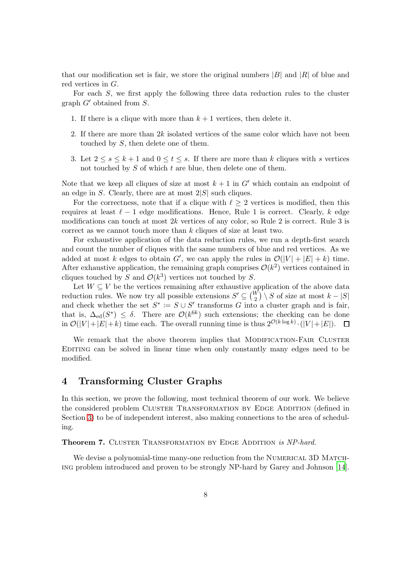<span id="page-7-2"></span>that our modification set is fair, we store the original numbers  $|B|$  and  $|R|$  of blue and red vertices in G.

For each S, we first apply the following three data reduction rules to the cluster graph  $G'$  obtained from  $S$ .

- 1. If there is a clique with more than  $k + 1$  vertices, then delete it.
- 2. If there are more than  $2k$  isolated vertices of the same color which have not been touched by S, then delete one of them.
- 3. Let  $2 \leq s \leq k+1$  and  $0 \leq t \leq s$ . If there are more than k cliques with s vertices not touched by  $S$  of which  $t$  are blue, then delete one of them.

Note that we keep all cliques of size at most  $k + 1$  in G' which contain an endpoint of an edge in  $S$ . Clearly, there are at most  $2|S|$  such cliques.

For the correctness, note that if a clique with  $\ell \geq 2$  vertices is modified, then this requires at least  $\ell-1$  edge modifications. Hence, Rule 1 is correct. Clearly, k edge modifications can touch at most 2k vertices of any color, so Rule 2 is correct. Rule 3 is correct as we cannot touch more than k cliques of size at least two.

For exhaustive application of the data reduction rules, we run a depth-first search and count the number of cliques with the same numbers of blue and red vertices. As we added at most k edges to obtain G', we can apply the rules in  $\mathcal{O}(|V| + |E| + k)$  time. After exhaustive application, the remaining graph comprises  $\mathcal{O}(k^2)$  vertices contained in cliques touched by S and  $\mathcal{O}(k^3)$  vertices not touched by S.

Let  $W \subseteq V$  be the vertices remaining after exhaustive application of the above data reduction rules. We now try all possible extensions  $S' \subseteq {W \choose 2} \setminus S$  of size at most  $k - |S|$ and check whether the set  $S^* := S \cup S'$  transforms G into a cluster graph and is fair, that is,  $\Delta_{ed}(S^*) \leq \delta$ . There are  $\mathcal{O}(k^{6k})$  such extensions; the checking can be done in  $\mathcal{O}(|V|+|E|+k)$  time each. The overall running time is thus  $2^{\mathcal{O}(k \log k)} \cdot (|V|+|E|)$ .  $\Box$ 

We remark that the above theorem implies that MODIFICATION-FAIR CLUSTER Editing can be solved in linear time when only constantly many edges need to be modified.

#### <span id="page-7-0"></span>4 Transforming Cluster Graphs

In this section, we prove the following, most technical theorem of our work. We believe the considered problem CLUSTER TRANSFORMATION BY EDGE ADDITION (defined in Section [3\)](#page-3-1) to be of independent interest, also making connections to the area of scheduling.

<span id="page-7-1"></span>Theorem 7. CLUSTER TRANSFORMATION BY EDGE ADDITION is NP-hard.

We devise a polynomial-time many-one reduction from the NUMERICAL 3D MATCHing problem introduced and proven to be strongly NP-hard by Garey and Johnson [\[14\]](#page-17-6).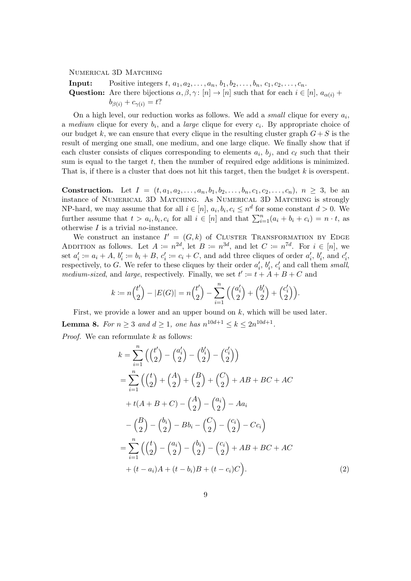NUMERICAL 3D MATCHING

**Input:** Positive integers  $t, a_1, a_2, ..., a_n, b_1, b_2, ..., b_n, c_1, c_2, ..., c_n$ . Question: Are there bijections  $\alpha, \beta, \gamma : [n] \to [n]$  such that for each  $i \in [n]$ ,  $a_{\alpha(i)}$  +  $b_{\beta(i)} + c_{\gamma(i)} = t$ ?

On a high level, our reduction works as follows. We add a *small* clique for every  $a_i$ , a *medium* clique for every  $b_i$ , and a *large* clique for every  $c_i$ . By appropriate choice of our budget k, we can ensure that every clique in the resulting cluster graph  $G+S$  is the result of merging one small, one medium, and one large clique. We finally show that if each cluster consists of cliques corresponding to elements  $a_i$ ,  $b_j$ , and  $c_\ell$  such that their sum is equal to the target  $t$ , then the number of required edge additions is minimized. That is, if there is a cluster that does not hit this target, then the budget  $k$  is overspent.

**Construction.** Let  $I = (t, a_1, a_2, \ldots, a_n, b_1, b_2, \ldots, b_n, c_1, c_2, \ldots, c_n), n \geq 3$ , be an instance of Numerical 3D Matching. As Numerical 3D Matching is strongly NP-hard, we may assume that for all  $i \in [n]$ ,  $a_i, b_i, c_i \leq n^d$  for some constant  $d > 0$ . We further assume that  $t > a_i, b_i, c_i$  for all  $i \in [n]$  and that  $\sum_{i=1}^n (a_i + b_i + c_i) = n \cdot t$ , as otherwise  $I$  is a trivial no-instance.

We construct an instance  $I' = (G, k)$  of CLUSTER TRANSFORMATION BY EDGE ADDITION as follows. Let  $A := n^{2d}$ , let  $B := n^{3d}$ , and let  $C := n^{7d}$ . For  $i \in [n]$ , we set  $a'_i \coloneqq a_i + A$ ,  $b'_i \coloneqq b_i + B$ ,  $c'_i \coloneqq c_i + C$ , and add three cliques of order  $a'_i$ ,  $b'_i$ , and  $c'_i$ , respectively, to G. We refer to these cliques by their order  $a'_{i}$ ,  $b'_{i}$ ,  $c'_{i}$  and call them small, medium-sized, and large, respectively. Finally, we set  $t' := t + A + B + C$  and

$$
k \coloneqq n {t' \choose 2} - |E(G)| = n {t' \choose 2} - \sum_{i=1}^n \left( {a'_i \choose 2} + {b'_i \choose 2} + {c'_i \choose 2} \right).
$$

<span id="page-8-0"></span>First, we provide a lower and an upper bound on  $k$ , which will be used later. **Lemma 8.** For  $n \geq 3$  and  $d \geq 1$ , one has  $n^{10d+1} \leq k \leq 2n^{10d+1}$ . *Proof.* We can reformulate  $k$  as follows:

<span id="page-8-1"></span>
$$
k = \sum_{i=1}^{n} \left( {t' \choose 2} - {a'_{i} \choose 2} - {b'_{i} \choose 2} - {c'_{i} \choose 2} \right)
$$
  
\n
$$
= \sum_{i=1}^{n} \left( {t \choose 2} + {A \choose 2} + {B \choose 2} + {C \choose 2} + AB + BC + AC
$$
  
\n
$$
+ t(A + B + C) - {A \choose 2} - {a_{i} \choose 2} - Aa_{i}
$$
  
\n
$$
- {B \choose 2} - {b_{i} \choose 2} - Bb_{i} - {C \choose 2} - {c_{i} \choose 2} - Cc_{i}
$$
  
\n
$$
= \sum_{i=1}^{n} \left( {t \choose 2} - {a_{i} \choose 2} - {b_{i} \choose 2} - {c_{i} \choose 2} + AB + BC + AC
$$
  
\n
$$
+ (t - a_{i})A + (t - b_{i})B + (t - c_{i})C \right).
$$
 (2)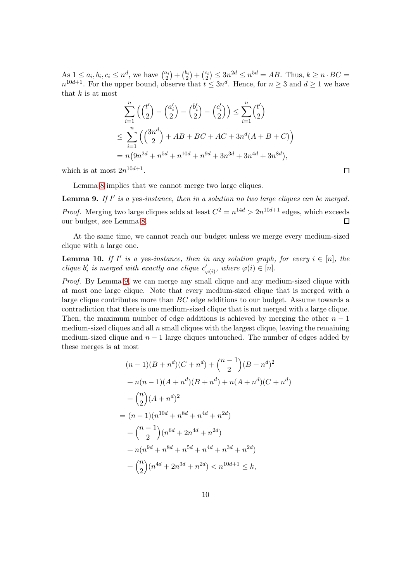As  $1 \leq a_i, b_i, c_i \leq n^d$ , we have  $\binom{a_i}{2}$  ${a_i \choose 2} + {b_i \choose 2}$  $\binom{b_i}{2} + \binom{c_i}{2}$  $\binom{2i}{2} \leq 3n^{2d} \leq n^{5d} = AB$ . Thus,  $k \geq n \cdot BC =$  $n^{10d+1}$ . For the upper bound, observe that  $t \leq 3n^d$ . Hence, for  $n \geq 3$  and  $d \geq 1$  we have that  $k$  is at most

$$
\sum_{i=1}^{n} \left( {t' \choose 2} - {a'_i \choose 2} - {b'_i \choose 2} - {c'_i \choose 2} \right) \le \sum_{i=1}^{n} {t' \choose 2}
$$
  

$$
\le \sum_{i=1}^{n} \left( {3n^d \choose 2} + AB + BC + AC + 3n^d(A + B + C) \right)
$$
  

$$
= n(9n^{2d} + n^{5d} + n^{10d} + n^{9d} + 3n^{3d} + 3n^{4d} + 3n^{8d}),
$$

which is at most  $2n^{10d+1}$ .

<span id="page-9-0"></span>Lemma [8](#page-8-0) implies that we cannot merge two large cliques.

**Lemma 9.** If  $I'$  is a yes-instance, then in a solution no two large cliques can be merged. *Proof.* Merging two large cliques adds at least  $C^2 = n^{14d} > 2n^{10d+1}$  edges, which exceeds our budget, see Lemma [8.](#page-8-0)  $\Box$ 

<span id="page-9-1"></span>At the same time, we cannot reach our budget unless we merge every medium-sized clique with a large one.

**Lemma 10.** If I' is a yes-instance, then in any solution graph, for every  $i \in [n]$ , the clique  $b'_i$  is merged with exactly one clique  $c'_{\varphi(i)}$ , where  $\varphi(i) \in [n]$ .

Proof. By Lemma [9,](#page-9-0) we can merge any small clique and any medium-sized clique with at most one large clique. Note that every medium-sized clique that is merged with a large clique contributes more than BC edge additions to our budget. Assume towards a contradiction that there is one medium-sized clique that is not merged with a large clique. Then, the maximum number of edge additions is achieved by merging the other  $n-1$ medium-sized cliques and all  $n$  small cliques with the largest clique, leaving the remaining medium-sized clique and  $n - 1$  large cliques untouched. The number of edges added by these merges is at most

$$
(n-1)(B + n^{d})(C + n^{d}) + {n-1 \choose 2}(B + n^{d})^{2}
$$
  
+  $n(n-1)(A + n^{d})(B + n^{d}) + n(A + n^{d})(C + n^{d})$   
+  ${n \choose 2}(A + n^{d})^{2}$   
=  $(n-1)(n^{10d} + n^{8d} + n^{4d} + n^{2d})$   
+  ${n-1 \choose 2}(n^{6d} + 2n^{4d} + n^{2d})$   
+  $n(n^{9d} + n^{8d} + n^{5d} + n^{4d} + n^{3d} + n^{2d})$   
+  ${n \choose 2}(n^{4d} + 2n^{3d} + n^{2d}) < n^{10d+1} \le k,$ 

 $\Box$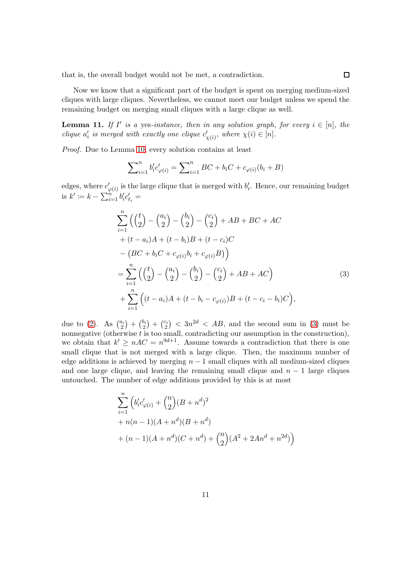that is, the overall budget would not be met, a contradiction.

Now we know that a significant part of the budget is spent on merging medium-sized cliques with large cliques. Nevertheless, we cannot meet our budget unless we spend the remaining budget on merging small cliques with a large clique as well.

<span id="page-10-1"></span>**Lemma 11.** If I' is a yes-instance, then in any solution graph, for every  $i \in [n]$ , the clique  $a'_i$  is merged with exactly one clique  $c'_{\chi(i)}$ , where  $\chi(i) \in [n]$ .

Proof. Due to Lemma [10,](#page-9-1) every solution contains at least

<span id="page-10-0"></span>
$$
\sum_{i=1}^{n} b'_{i} c'_{\varphi(i)} = \sum_{i=1}^{n} BC + b_{i}C + c_{\varphi(i)}(b_{i} + B)
$$

edges, where  $c'_{\varphi(i)}$  is the large clique that is merged with  $b'_i$ . Hence, our remaining budget is  $k' := k - \sum_{i=1}^{n} b'_i c'_{\ell_i} =$ 

$$
\sum_{i=1}^{n} \left( \binom{t}{2} - \binom{a_i}{2} - \binom{b_i}{2} - \binom{c_i}{2} + AB + BC + AC \n+ (t - a_i)A + (t - b_i)B + (t - c_i)C \n- (BC + b_iC + c_{\varphi(i)}b_i + c_{\varphi(i)}B) \right) \n= \sum_{i=1}^{n} \left( \binom{t}{2} - \binom{a_i}{2} - \binom{b_i}{2} - \binom{c_i}{2} + AB + AC \right) \n+ \sum_{i=1}^{n} \left( (t - a_i)A + (t - b_i - c_{\varphi(i)})B + (t - c_i - b_i)C \right),
$$
\n(3)

due to [\(2\)](#page-8-1). As  $\binom{a_i}{2}$  $\binom{a_i}{2} + \binom{b_i}{2}$  $\binom{b_i}{2} + \binom{c_i}{2}$  $\binom{2i}{2}$  < 3n<sup>2d</sup> < AB, and the second sum in [\(3\)](#page-10-0) must be nonnegative (otherwise  $t$  is too small, contradicting our assumption in the construction), we obtain that  $k' \geq nAC = n^{9d+1}$ . Assume towards a contradiction that there is one small clique that is not merged with a large clique. Then, the maximum number of edge additions is achieved by merging  $n - 1$  small cliques with all medium-sized cliques and one large clique, and leaving the remaining small clique and  $n - 1$  large cliques untouched. The number of edge additions provided by this is at most

$$
\sum_{i=1}^{n} \left( b'_i c'_{\varphi(i)} + {n \choose 2} (B + n^d)^2 + n(n-1)(A + n^d)(B + n^d) + (n-1)(A + n^d)(C + n^d) + {n \choose 2} (A^2 + 2An^d + n^{2d}) \right)
$$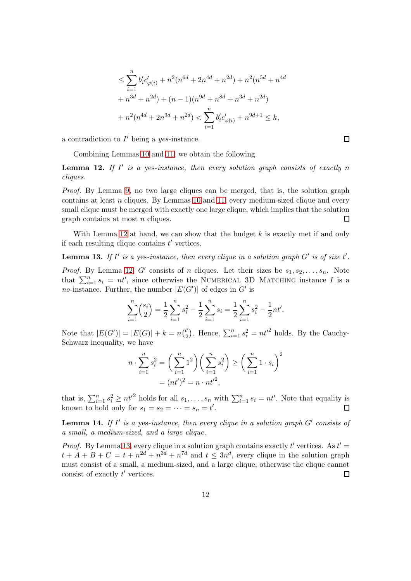$$
\leq \sum_{i=1}^{n} b'_i c'_{\varphi(i)} + n^2 (n^{6d} + 2n^{4d} + n^{2d}) + n^2 (n^{5d} + n^{4d} + n^{3d} + n^{2d}) + (n - 1)(n^{9d} + n^{8d} + n^{3d} + n^{2d})
$$

$$
+ n^2 (n^{4d} + 2n^{3d} + n^{2d}) < \sum_{i=1}^{n} b'_i c'_{\varphi(i)} + n^{9d+1} \leq k,
$$

a contradiction to  $I'$  being a yes-instance.

<span id="page-11-0"></span>Combining Lemmas [10](#page-9-1) and [11,](#page-10-1) we obtain the following.

**Lemma 12.** If  $I'$  is a yes-instance, then every solution graph consists of exactly n cliques.

Proof. By Lemma [9,](#page-9-0) no two large cliques can be merged, that is, the solution graph contains at least  $n$  cliques. By Lemmas [10](#page-9-1) and [11,](#page-10-1) every medium-sized clique and every small clique must be merged with exactly one large clique, which implies that the solution graph contains at most n cliques.  $\Box$ 

<span id="page-11-1"></span>With Lemma [12](#page-11-0) at hand, we can show that the budget  $k$  is exactly met if and only if each resulting clique contains  $t'$  vertices.

**Lemma 13.** If I' is a yes-instance, then every clique in a solution graph  $G'$  is of size  $t'$ .

*Proof.* By Lemma [12,](#page-11-0) G' consists of n cliques. Let their sizes be  $s_1, s_2, \ldots, s_n$ . Note that  $\sum_{i=1}^{n} s_i = nt'$ , since otherwise the NUMERICAL 3D MATCHING instance I is a *no*-instance. Further, the number  $|E(G')|$  of edges in G' is

$$
\sum_{i=1}^{n} {s_i \choose 2} = \frac{1}{2} \sum_{i=1}^{n} s_i^2 - \frac{1}{2} \sum_{i=1}^{n} s_i = \frac{1}{2} \sum_{i=1}^{n} s_i^2 - \frac{1}{2} n t'.
$$

Note that  $|E(G')| = |E(G)| + k = n\binom{t'}{2}$  $\binom{t'}{2}$ . Hence,  $\sum_{i=1}^{n} s_i^2 = nt'^2$  holds. By the Cauchy-Schwarz inequality, we have

$$
n \cdot \sum_{i=1}^{n} s_i^2 = \left(\sum_{i=1}^{n} 1^2\right) \left(\sum_{i=1}^{n} s_i^2\right) \ge \left(\sum_{i=1}^{n} 1 \cdot s_i\right)^2
$$

$$
= (nt')^2 = n \cdot nt'^2,
$$

that is,  $\sum_{i=1}^n s_i^2 \ge nt'^2$  holds for all  $s_1, \ldots, s_n$  with  $\sum_{i=1}^n s_i = nt'$ . Note that equality is known to hold only for  $s_1 = s_2 = \cdots = s_n = t'$ .

<span id="page-11-2"></span>**Lemma 14.** If  $I'$  is a yes-instance, then every clique in a solution graph  $G'$  consists of a small, a medium-sized, and a large clique.

*Proof.* By Lemma [13,](#page-11-1) every clique in a solution graph contains exactly  $t'$  vertices. As  $t' =$  $t + A + B + C = t + n^{2d} + n^{3d} + n^{7d}$  and  $t \leq 3n^d$ , every clique in the solution graph must consist of a small, a medium-sized, and a large clique, otherwise the clique cannot consist of exactly  $t'$  vertices.  $\Box$ 

 $\Box$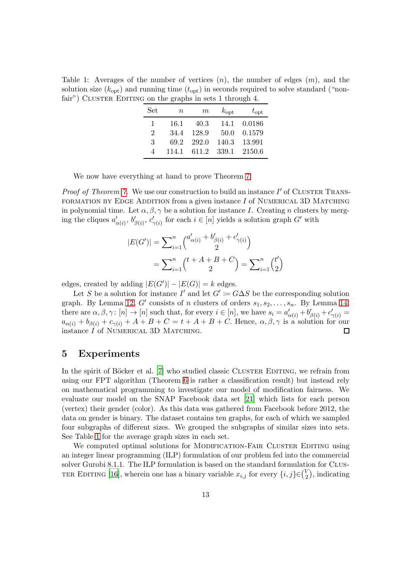<span id="page-12-1"></span><span id="page-12-0"></span>Table 1: Averages of the number of vertices  $(n)$ , the number of edges  $(m)$ , and the solution size  $(k_{\text{opt}})$  and running time  $(t_{\text{opt}})$  in seconds required to solve standard ("nonfair") CLUSTER EDITING on the graphs in sets 1 through 4.

| Set                         | $n\,$ | $m\,$ | $k_{\mathrm{opt}}$ | $t_{\mathrm{opt}}$ |
|-----------------------------|-------|-------|--------------------|--------------------|
| 1                           | 16.1  | 40.3  | 14.1               | 0.0186             |
| $\mathcal{D}_{\mathcal{L}}$ | 34.4  | 128.9 | 50.0               | 0.1579             |
| 3                           | 69.2  | 292.0 | 140.3              | 13.991             |
| Δ                           | 114.1 | 611.2 | 339.1              | 2150.6             |

We now have everything at hand to prove Theorem [7.](#page-7-1)

*Proof of Theorem [7.](#page-7-1)* We use our construction to build an instance  $I'$  of CLUSTER TRANS-FORMATION BY EDGE ADDITION from a given instance  $I$  of NUMERICAL 3D MATCHING in polynomial time. Let  $\alpha, \beta, \gamma$  be a solution for instance I. Creating n clusters by merging the cliques  $a'_{\alpha(i)}, b'_{\beta(i)}, c'_{\gamma(i)}$  for each  $i \in [n]$  yields a solution graph  $G'$  with

$$
|E(G')| = \sum_{i=1}^{n} {a'_{\alpha(i)} + b'_{\beta(i)} + c'_{\gamma(i)} \choose 2}
$$
  
= 
$$
\sum_{i=1}^{n} {t + A + B + C \choose 2} = \sum_{i=1}^{n} {t' \choose 2}
$$

edges, created by adding  $|E(G')| - |E(G)| = k$  edges.

Let S be a solution for instance I' and let  $G' := G \Delta S$  be the corresponding solution graph. By Lemma [12,](#page-11-0) G' consists of n clusters of orders  $s_1, s_2, \ldots, s_n$ . By Lemma [14,](#page-11-2) there are  $\alpha, \beta, \gamma \colon [n] \to [n]$  such that, for every  $i \in [n]$ , we have  $s_i = a'_{\alpha(i)} + b'_{\beta(i)} + c'_{\gamma(i)} =$  $a_{\alpha(i)} + b_{\beta(i)} + c_{\gamma(i)} + A + B + C = t + A + B + C$ . Hence,  $\alpha, \beta, \gamma$  is a solution for our instance  $I$  of NUMERICAL 3D MATCHING.  $\Box$ 

#### 5 Experiments

In the spirit of Böcker et al.  $[7]$  who studied classic CLUSTER EDITING, we refrain from using our FPT algorithm (Theorem [6](#page-6-0) is rather a classification result) but instead rely on mathematical programming to investigate our model of modification fairness. We evaluate our model on the SNAP Facebook data set [\[21\]](#page-18-5) which lists for each person (vertex) their gender (color). As this data was gathered from Facebook before 2012, the data on gender is binary. The dataset contains ten graphs, for each of which we sampled four subgraphs of different sizes. We grouped the subgraphs of similar sizes into sets. See Table [1](#page-12-0) for the average graph sizes in each set.

We computed optimal solutions for MODIFICATION-FAIR CLUSTER EDITING using an integer linear programming (ILP) formulation of our problem fed into the commercial solver Gurobi 8.1.1. The ILP formulation is based on the standard formulation for CLUS-TER EDITING [\[16\]](#page-17-7), wherein one has a binary variable  $x_{i,j}$  for every  $\{i,j\} \in \binom{V}{2}$  $_{2}^{V}$ ), indicating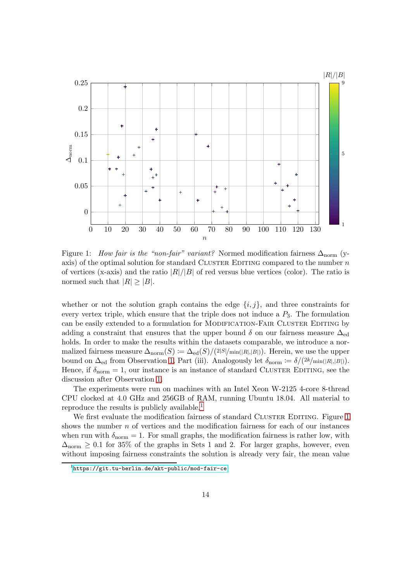

<span id="page-13-1"></span>Figure 1: How fair is the "non-fair" variant? Normed modification fairness  $\Delta_{\text{norm}}$  (yaxis) of the optimal solution for standard CLUSTER EDITING compared to the number  $n$ of vertices (x-axis) and the ratio  $|R|/|B|$  of red versus blue vertices (color). The ratio is normed such that  $|R| \geq |B|$ .

whether or not the solution graph contains the edge  $\{i, j\}$ , and three constraints for every vertex triple, which ensure that the triple does not induce a  $P_3$ . The formulation can be easily extended to a formulation for MODIFICATION-FAIR CLUSTER EDITING by adding a constraint that ensures that the upper bound  $\delta$  on our fairness measure  $\Delta_{\text{ed}}$ holds. In order to make the results within the datasets comparable, we introduce a normalized fairness measure  $\Delta_{\text{norm}}(S) := \Delta_{\text{ed}}(S)/(2|S|/\text{min}(|R|,|B|)).$  Herein, we use the upper bound on  $\Delta_{\text{ed}}$  from Observation [1,](#page-2-0) Part (iii). Analogously let  $\delta_{\text{norm}} := \delta/(2k/\min(|R|,|B|)).$ Hence, if  $\delta_{\text{norm}} = 1$ , our instance is an instance of standard CLUSTER EDITING, see the discussion after Observation [1.](#page-2-0)

The experiments were run on machines with an Intel Xeon W-2125 4-core 8-thread CPU clocked at 4.0 GHz and 256GB of RAM, running Ubuntu 18.04. All material to reproduce the results is publicly available.<sup>[1](#page-13-0)</sup>

We first evaluate the modification fairness of standard CLUSTER EDITING. Figure [1](#page-13-1) shows the number  $n$  of vertices and the modification fairness for each of our instances when run with  $\delta_{\text{norm}} = 1$ . For small graphs, the modification fairness is rather low, with  $\Delta_{\text{norm}} \geq 0.1$  for 35% of the graphs in Sets 1 and 2. For larger graphs, however, even without imposing fairness constraints the solution is already very fair, the mean value

<span id="page-13-0"></span><sup>1</sup> <https://git.tu-berlin.de/akt-public/mod-fair-ce>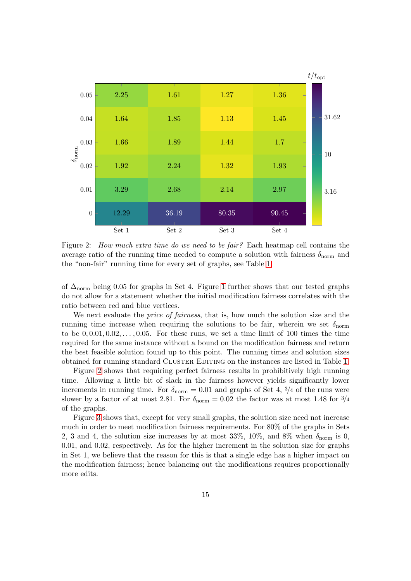

<span id="page-14-0"></span>Figure 2: How much extra time do we need to be fair? Each heatmap cell contains the average ratio of the running time needed to compute a solution with fairness  $\delta_{\text{norm}}$  and the "non-fair" running time for every set of graphs, see Table [1.](#page-12-0)

of  $\Delta_{\text{norm}}$  being 0.05 for graphs in Set 4. Figure [1](#page-13-1) further shows that our tested graphs do not allow for a statement whether the initial modification fairness correlates with the ratio between red and blue vertices.

We next evaluate the *price of fairness*, that is, how much the solution size and the running time increase when requiring the solutions to be fair, wherein we set  $\delta_{\text{norm}}$ to be  $0, 0.01, 0.02, \ldots, 0.05$ . For these runs, we set a time limit of 100 times the time required for the same instance without a bound on the modification fairness and return the best feasible solution found up to this point. The running times and solution sizes obtained for running standard CLUSTER EDITING on the instances are listed in Table [1.](#page-12-0)

Figure [2](#page-14-0) shows that requiring perfect fairness results in prohibitively high running time. Allowing a little bit of slack in the fairness however yields significantly lower increments in running time. For  $\delta_{\text{norm}} = 0.01$  and graphs of Set 4, 3/4 of the runs were slower by a factor of at most 2.81. For  $\delta_{\text{norm}} = 0.02$  the factor was at most 1.48 for  $\frac{3}{4}$ of the graphs.

Figure [3](#page-15-0) shows that, except for very small graphs, the solution size need not increase much in order to meet modification fairness requirements. For 80% of the graphs in Sets 2, 3 and 4, the solution size increases by at most 33%, 10%, and 8% when  $\delta_{\text{norm}}$  is 0, 0.01, and 0.02, respectively. As for the higher increment in the solution size for graphs in Set 1, we believe that the reason for this is that a single edge has a higher impact on the modification fairness; hence balancing out the modifications requires proportionally more edits.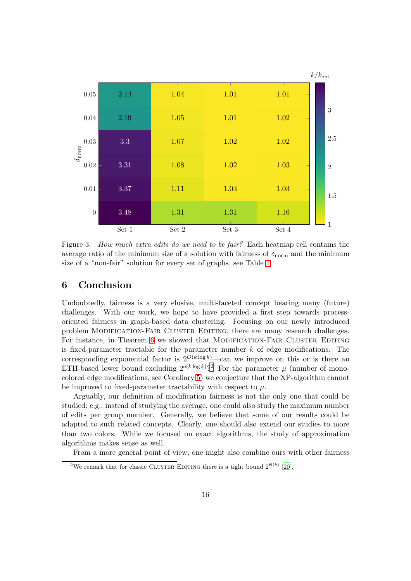<span id="page-15-2"></span>

<span id="page-15-0"></span>Figure 3: How much extra edits do we need to be fair? Each heatmap cell contains the average ratio of the minimum size of a solution with fairness of  $\delta_{\text{norm}}$  and the minimum size of a "non-fair" solution for every set of graphs, see Table [1.](#page-12-0)

# 6 Conclusion

Undoubtedly, fairness is a very elusive, multi-faceted concept bearing many (future) challenges. With our work, we hope to have provided a first step towards processoriented fairness in graph-based data clustering. Focusing on our newly introduced problem Modification-Fair Cluster Editing, there are many research challenges. For instance, in Theorem [6](#page-6-0) we showed that MODIFICATION-FAIR CLUSTER EDITING is fixed-parameter tractable for the parameter number  $k$  of edge modifications. The corresponding exponential factor is  $2^{\mathcal{O}(k \log k)}$ —can we improve on this or is there an ETH-based lower bound excluding  $2^{o(k \log k)}$  $2^{o(k \log k)}$ ? For the parameter  $\mu$  (number of monocolored edge modifications, see Corollary [5\)](#page-6-1) we conjecture that the XP-algorithm cannot be improved to fixed-parameter tractability with respect to  $\mu$ .

Arguably, our definition of modification fairness is not the only one that could be studied; e.g., instead of studying the average, one could also study the maximum number of edits per group member. Generally, we believe that some of our results could be adapted to such related concepts. Clearly, one should also extend our studies to more than two colors. While we focused on exact algorithms, the study of approximation algorithms makes sense as well.

From a more general point of view, one might also combine ours with other fairness

<span id="page-15-1"></span><sup>&</sup>lt;sup>2</sup>We remark that for classic CLUSTER EDITING there is a tight bound  $2^{\Theta(k)}$  [\[20\]](#page-17-5).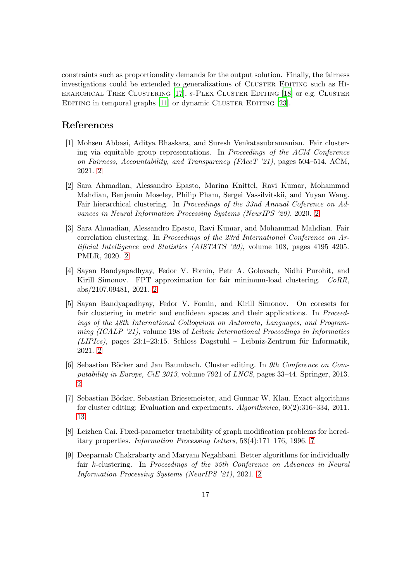<span id="page-16-9"></span>constraints such as proportionality demands for the output solution. Finally, the fairness investigations could be extended to generalizations of CLUSTER EDITING such as HIerarchical Tree Clustering [\[17](#page-17-8)], s-Plex Cluster Editing [\[18](#page-17-9)] or e.g. Cluster EDITING in temporal graphs [\[11\]](#page-17-10) or dynamic CLUSTER EDITING [\[23](#page-18-6)].

#### References

- <span id="page-16-1"></span>[1] Mohsen Abbasi, Aditya Bhaskara, and Suresh Venkatasubramanian. Fair clustering via equitable group representations. In Proceedings of the ACM Conference on Fairness, Accountability, and Transparency (FAccT  $21$ ), pages 504–514. ACM, 2021. [2](#page-1-0)
- <span id="page-16-2"></span>[2] Sara Ahmadian, Alessandro Epasto, Marina Knittel, Ravi Kumar, Mohammad Mahdian, Benjamin Moseley, Philip Pham, Sergei Vassilvitskii, and Yuyan Wang. Fair hierarchical clustering. In Proceedings of the 33nd Annual Coference on Advances in Neural Information Processing Systems (NeurIPS '20), 2020. [2](#page-1-0)
- <span id="page-16-0"></span>[3] Sara Ahmadian, Alessandro Epasto, Ravi Kumar, and Mohammad Mahdian. Fair correlation clustering. In Proceedings of the 23rd International Conference on Artificial Intelligence and Statistics (AISTATS '20), volume 108, pages 4195–4205. PMLR, 2020. [2](#page-1-0)
- <span id="page-16-4"></span>[4] Sayan Bandyapadhyay, Fedor V. Fomin, Petr A. Golovach, Nidhi Purohit, and Kirill Simonov. FPT approximation for fair minimum-load clustering. CoRR, abs/2107.09481, 2021. [2](#page-1-0)
- <span id="page-16-3"></span>[5] Sayan Bandyapadhyay, Fedor V. Fomin, and Kirill Simonov. On coresets for fair clustering in metric and euclidean spaces and their applications. In *Proceed*ings of the 48th International Colloquium on Automata, Languages, and Programming (ICALP '21), volume 198 of Leibniz International Proceedings in Informatics  $(LIPIs)$ , pages 23:1–23:15. Schloss Dagstuhl – Leibniz-Zentrum für Informatik, 2021. [2](#page-1-0)
- <span id="page-16-6"></span>[6] Sebastian Böcker and Jan Baumbach. Cluster editing. In 9th Conference on Computability in Europe, CiE 2013, volume 7921 of LNCS, pages 33–44. Springer, 2013.  $\mathcal{D}$
- <span id="page-16-8"></span>[7] Sebastian Böcker, Sebastian Briesemeister, and Gunnar W. Klau. Exact algorithms for cluster editing: Evaluation and experiments. Algorithmica, 60(2):316–334, 2011. [13](#page-12-1)
- <span id="page-16-7"></span>[8] Leizhen Cai. Fixed-parameter tractability of graph modification problems for hereditary properties. Information Processing Letters, 58(4):171–176, 1996. [7](#page-6-2)
- <span id="page-16-5"></span>[9] Deeparnab Chakrabarty and Maryam Negahbani. Better algorithms for individually fair k-clustering. In Proceedings of the 35th Conference on Advances in Neural Information Processing Systems (NeurIPS '21), 2021. [2](#page-1-0)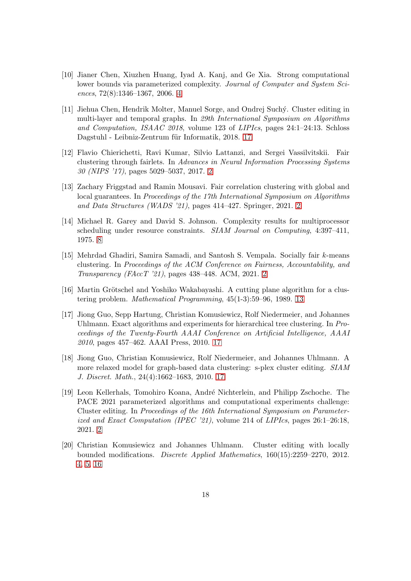- <span id="page-17-4"></span>[10] Jianer Chen, Xiuzhen Huang, Iyad A. Kanj, and Ge Xia. Strong computational lower bounds via parameterized complexity. Journal of Computer and System Sciences, 72(8):1346–1367, 2006. [4](#page-3-2)
- <span id="page-17-10"></span>[11] Jiehua Chen, Hendrik Molter, Manuel Sorge, and Ondrej Suchý. Cluster editing in multi-layer and temporal graphs. In 29th International Symposium on Algorithms and Computation, ISAAC 2018, volume 123 of LIPIcs, pages 24:1–24:13. Schloss Dagstuhl - Leibniz-Zentrum für Informatik, 2018. [17](#page-16-9)
- <span id="page-17-1"></span>[12] Flavio Chierichetti, Ravi Kumar, Silvio Lattanzi, and Sergei Vassilvitskii. Fair clustering through fairlets. In Advances in Neural Information Processing Systems 30 (NIPS '17), pages 5029–5037, 2017. [2](#page-1-0)
- <span id="page-17-0"></span>[13] Zachary Friggstad and Ramin Mousavi. Fair correlation clustering with global and local guarantees. In Proceedings of the 17th International Symposium on Algorithms and Data Structures (WADS '21), pages 414–427. Springer, 2021. [2](#page-1-0)
- <span id="page-17-6"></span>[14] Michael R. Garey and David S. Johnson. Complexity results for multiprocessor scheduling under resource constraints. SIAM Journal on Computing, 4:397–411, 1975. [8](#page-7-2)
- <span id="page-17-2"></span>[15] Mehrdad Ghadiri, Samira Samadi, and Santosh S. Vempala. Socially fair k-means clustering. In Proceedings of the ACM Conference on Fairness, Accountability, and Transparency (FAccT '21), pages 438–448. ACM, 2021. [2](#page-1-0)
- <span id="page-17-7"></span>[16] Martin Grötschel and Yoshiko Wakabayashi. A cutting plane algorithm for a clustering problem. Mathematical Programming, 45(1-3):59–96, 1989. [13](#page-12-1)
- <span id="page-17-8"></span>[17] Jiong Guo, Sepp Hartung, Christian Komusiewicz, Rolf Niedermeier, and Johannes Uhlmann. Exact algorithms and experiments for hierarchical tree clustering. In Proceedings of the Twenty-Fourth AAAI Conference on Artificial Intelligence, AAAI 2010, pages 457–462. AAAI Press, 2010. [17](#page-16-9)
- <span id="page-17-9"></span>[18] Jiong Guo, Christian Komusiewicz, Rolf Niedermeier, and Johannes Uhlmann. A more relaxed model for graph-based data clustering: s-plex cluster editing. SIAM J. Discret. Math., 24(4):1662–1683, 2010. [17](#page-16-9)
- <span id="page-17-3"></span>[19] Leon Kellerhals, Tomohiro Koana, Andr´e Nichterlein, and Philipp Zschoche. The PACE 2021 parameterized algorithms and computational experiments challenge: Cluster editing. In Proceedings of the 16th International Symposium on Parameterized and Exact Computation (IPEC '21), volume 214 of LIPIcs, pages 26:1–26:18, 2021. [2](#page-1-0)
- <span id="page-17-5"></span>[20] Christian Komusiewicz and Johannes Uhlmann. Cluster editing with locally bounded modifications. Discrete Applied Mathematics, 160(15):2259–2270, 2012. [4,](#page-3-2) [5,](#page-4-1) [16](#page-15-2)